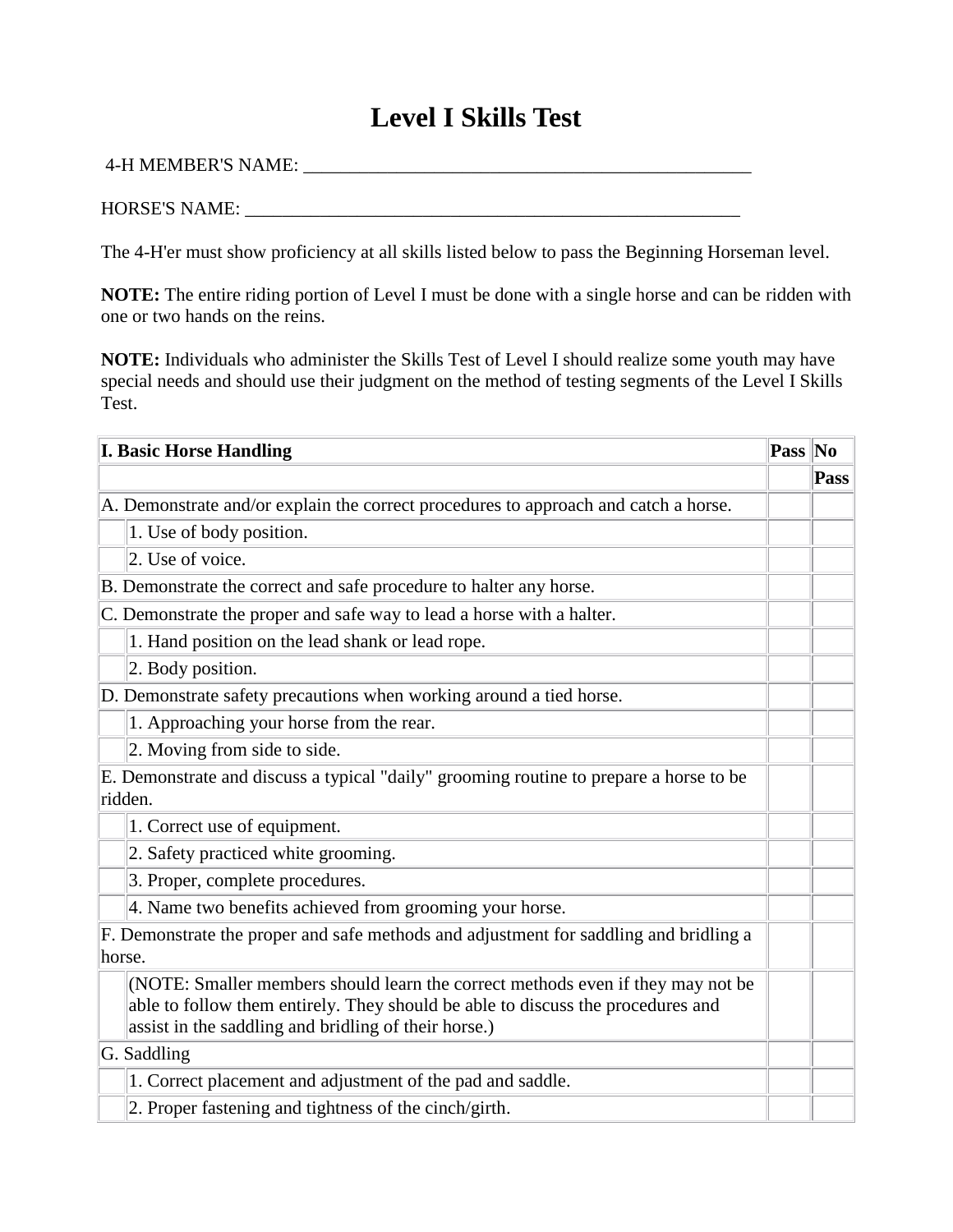## **Level I Skills Test**

## 4-H MEMBER'S NAME: \_\_\_\_\_\_\_\_\_\_\_\_\_\_\_\_\_\_\_\_\_\_\_\_\_\_\_\_\_\_\_\_\_\_\_\_\_\_\_\_\_\_\_\_\_\_\_\_

## HORSE'S NAME: \_\_\_\_\_\_\_\_\_\_\_\_\_\_\_\_\_\_\_\_\_\_\_\_\_\_\_\_\_\_\_\_\_\_\_\_\_\_\_\_\_\_\_\_\_\_\_\_\_\_\_\_\_

The 4-H'er must show proficiency at all skills listed below to pass the Beginning Horseman level.

**NOTE:** The entire riding portion of Level I must be done with a single horse and can be ridden with one or two hands on the reins.

**NOTE:** Individuals who administer the Skills Test of Level I should realize some youth may have special needs and should use their judgment on the method of testing segments of the Level I Skills Test.

| <b>I. Basic Horse Handling</b>                                                                                                                                                                                             | Pass No |      |
|----------------------------------------------------------------------------------------------------------------------------------------------------------------------------------------------------------------------------|---------|------|
|                                                                                                                                                                                                                            |         | Pass |
| A. Demonstrate and/or explain the correct procedures to approach and catch a horse.                                                                                                                                        |         |      |
| 1. Use of body position.                                                                                                                                                                                                   |         |      |
| 2. Use of voice.                                                                                                                                                                                                           |         |      |
| B. Demonstrate the correct and safe procedure to halter any horse.                                                                                                                                                         |         |      |
| C. Demonstrate the proper and safe way to lead a horse with a halter.                                                                                                                                                      |         |      |
| 1. Hand position on the lead shank or lead rope.                                                                                                                                                                           |         |      |
| 2. Body position.                                                                                                                                                                                                          |         |      |
| D. Demonstrate safety precautions when working around a tied horse.                                                                                                                                                        |         |      |
| 1. Approaching your horse from the rear.                                                                                                                                                                                   |         |      |
| 2. Moving from side to side.                                                                                                                                                                                               |         |      |
| E. Demonstrate and discuss a typical "daily" grooming routine to prepare a horse to be<br>ridden.                                                                                                                          |         |      |
| 1. Correct use of equipment.                                                                                                                                                                                               |         |      |
| 2. Safety practiced white grooming.                                                                                                                                                                                        |         |      |
| 3. Proper, complete procedures.                                                                                                                                                                                            |         |      |
| 4. Name two benefits achieved from grooming your horse.                                                                                                                                                                    |         |      |
| F. Demonstrate the proper and safe methods and adjustment for saddling and bridling a<br>horse.                                                                                                                            |         |      |
| (NOTE: Smaller members should learn the correct methods even if they may not be<br>able to follow them entirely. They should be able to discuss the procedures and<br>assist in the saddling and bridling of their horse.) |         |      |
| G. Saddling                                                                                                                                                                                                                |         |      |
| 1. Correct placement and adjustment of the pad and saddle.                                                                                                                                                                 |         |      |
| 2. Proper fastening and tightness of the cinch/girth.                                                                                                                                                                      |         |      |